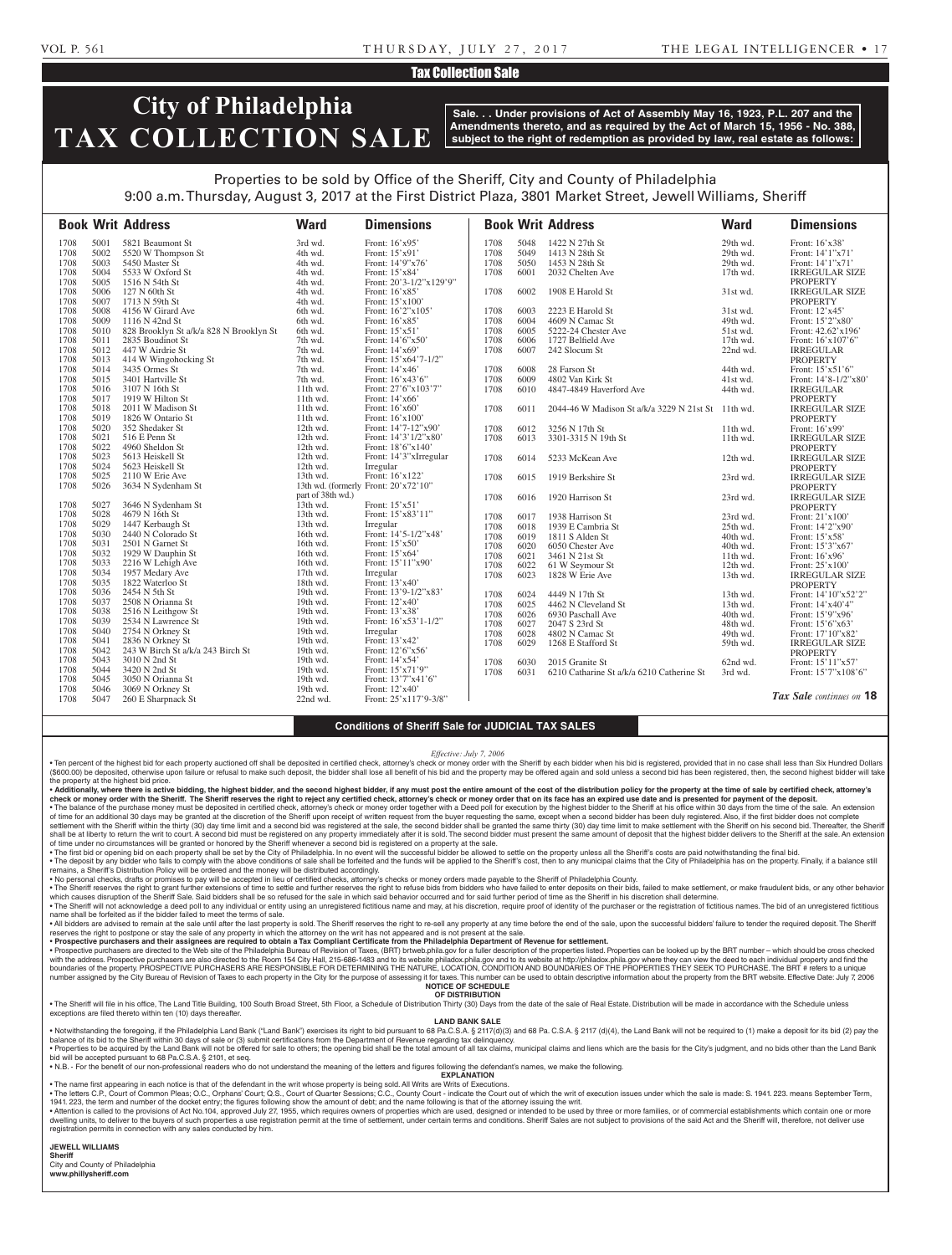### Tax Collection Sale

# **City of Philadelphia TAX COLLECTION SALE**

**Sale. . . Under provisions of Act of Assembly May 16, 1923, P.L. 207 and the Amendments thereto, and as required by the Act of March 15, 1956 - No. 388, subject to the right of redemption as provided by law, real estate as follows:**

## Properties to be sold by Office of the Sheriff, City and County of Philadelphia 9:00 a.m. Thursday, August 3, 2017 at the First District Plaza, 3801 Market Street, Jewell Williams, Sheriff

|      |      | <b>Book Writ Address</b>                | <b>Ward</b>       | <b>Dimensions</b>                    |      |      | <b>Book Writ Address</b>                           | <b>Ward</b> | <b>Dimensions</b>        |
|------|------|-----------------------------------------|-------------------|--------------------------------------|------|------|----------------------------------------------------|-------------|--------------------------|
| 1708 | 5001 | 5821 Beaumont St                        | 3rd wd.           | Front: 16'x95'                       | 1708 | 5048 | 1422 N 27th St                                     | 29th wd.    | Front: 16'x38'           |
| 1708 | 5002 | 5520 W Thompson St                      | 4th wd.           | Front: 15'x91'                       | 1708 | 5049 | 1413 N 28th St                                     | 29th wd.    | Front: 14'1"x71'         |
| 1708 | 5003 | 5450 Master St                          | 4th wd.           | Front: 14'9"x76'                     | 1708 | 5050 | 1453 N 28th St                                     | 29th wd.    | Front: 14'1"x71'         |
| 1708 | 5004 | 5533 W Oxford St                        | 4th wd.           | Front: 15'x84'                       | 1708 | 6001 | 2032 Chelten Ave                                   | 17th wd.    | <b>IRREGULAR SIZE</b>    |
| 1708 | 5005 | 1516 N 54th St                          | 4th wd.           | Front: 20'3-1/2"x129'9"              |      |      |                                                    |             | <b>PROPERTY</b>          |
| 1708 | 5006 | 127 N 60th St                           | 4th wd.           | Front: 16'x85'                       | 1708 | 6002 | 1908 E Harold St                                   | 31st wd.    | <b>IRREGULAR SIZE</b>    |
| 1708 | 5007 | 1713 N 59th St                          | 4th wd.           | Front: 15'x100'                      |      |      |                                                    |             | <b>PROPERTY</b>          |
| 1708 | 5008 | 4156 W Girard Ave                       | 6th wd.           | Front: 16'2"x105'                    | 1708 | 6003 | 2223 E Harold St                                   | 31st wd.    | Front: 12'x45'           |
| 1708 | 5009 | 1116 N 42nd St                          | 6th wd.           | Front: 16'x85'                       | 1708 | 6004 | 4609 N Camac St                                    | 49th wd.    | Front: 15'2"x80'         |
| 1708 | 5010 | 828 Brooklyn St a/k/a 828 N Brooklyn St | 6th wd.           | Front: 15'x51'                       | 1708 | 6005 | 5222-24 Chester Ave                                | 51st wd.    | Front: 42.62'x196'       |
| 1708 | 5011 | 2835 Boudinot St                        | 7th wd.           | Front: 14'6"x50"                     | 1708 | 6006 | 1727 Belfield Ave                                  | 17th wd.    | Front: 16'x107'6"        |
| 1708 | 5012 | 447 W Airdrie St                        | 7th wd.           | Front: 14'x69'                       | 1708 | 6007 | 242 Slocum St                                      | 22nd wd.    | <b>IRREGULAR</b>         |
| 1708 | 5013 | 414 W Wingohocking St                   | 7th wd.           | Front: 15'x64'7-1/2"                 |      |      |                                                    |             | <b>PROPERTY</b>          |
| 1708 | 5014 | 3435 Ormes St                           | 7th wd.           | Front: 14'x46'                       | 1708 | 6008 | 28 Farson St                                       | 44th wd.    | Front: 15'x51'6"         |
| 1708 | 5015 | 3401 Hartville St                       | 7th wd.           | Front: 16'x43'6"                     | 1708 | 6009 | 4802 Van Kirk St                                   | 41st wd.    | Front: 14'8-1/2"x80'     |
| 1708 | 5016 | 3107 N 16th St                          | 11th wd.          | Front: 27'6"x103'7"                  | 1708 | 6010 | 4847-4849 Haverford Ave                            | 44th wd.    | <b>IRREGULAR</b>         |
| 1708 | 5017 | 1919 W Hilton St                        | 11th wd.          | Front: 14'x66'                       |      |      |                                                    |             | PROPERTY                 |
| 1708 | 5018 | 2011 W Madison St                       | 11th wd.          | Front: 16'x60'                       | 1708 | 6011 | 2044-46 W Madison St a/k/a 3229 N 21st St 11th wd. |             | <b>IRREGULAR SIZE</b>    |
| 1708 | 5019 | 1826 W Ontario St                       | 11th wd.          | Front: 16'x100'                      |      |      |                                                    |             | <b>PROPERTY</b>          |
| 1708 | 5020 | 352 Shedaker St                         | 12th wd.          | Front: 14'7-12"x90'                  | 1708 | 6012 | 3256 N 17th St                                     | 11th wd.    | Front: 16'x99'           |
| 1708 | 5021 | 516 E Penn St                           | 12th wd.          | Front: 14'3'1/2"x80'                 | 1708 | 6013 | 3301-3315 N 19th St                                | 11th wd.    | <b>IRREGULAR SIZE</b>    |
| 1708 | 5022 | 4960 Sheldon St                         | 12th wd.          | Front: 18'6"x140"                    |      |      |                                                    |             | <b>PROPERTY</b>          |
| 1708 | 5023 | 5613 Heiskell St                        | 12th wd.          | Front: 14'3"xIrregular               | 1708 | 6014 | 5233 McKean Ave                                    | 12th wd.    | <b>IRREGULAR SIZE</b>    |
| 1708 | 5024 | 5623 Heiskell St                        | 12th wd.          | Irregular                            |      |      |                                                    |             | <b>PROPERTY</b>          |
| 1708 | 5025 | 2110 W Erie Ave                         | 13th wd.          | Front: 16'x122'                      | 1708 | 6015 | 1919 Berkshire St                                  | 23rd wd.    | <b>IRREGULAR SIZE</b>    |
| 1708 | 5026 | 3634 N Sydenham St                      |                   | 13th wd. (formerly Front: 20'x72'10" |      |      |                                                    |             | <b>PROPERTY</b>          |
|      |      |                                         | part of 38th wd.) |                                      | 1708 | 6016 | 1920 Harrison St                                   | 23rd wd.    | <b>IRREGULAR SIZE</b>    |
| 1708 | 5027 | 3646 N Sydenham St                      | $13th$ wd.        | Front: 15'x51'                       |      |      |                                                    |             | <b>PROPERTY</b>          |
| 1708 | 5028 | 4679 N 16th St                          | 13th wd.          | Front: 15'x83'11"                    | 1708 | 6017 | 1938 Harrison St                                   | 23rd wd.    | Front: 21'x100'          |
| 1708 | 5029 | 1447 Kerbaugh St                        | 13th wd.          | Irregular                            | 1708 | 6018 | 1939 E Cambria St                                  | 25th wd.    | Front: 14'2"x90'         |
| 1708 | 5030 | 2440 N Colorado St                      | 16th wd.          | Front: 14'5-1/2"x48'                 | 1708 | 6019 | 1811 S Alden St                                    | 40th wd.    | Front: 15'x58'           |
| 1708 | 5031 | 2501 N Garnet St                        | 16th wd.          | Front: 15'x50'                       | 1708 | 6020 | 6050 Chester Ave                                   | 40th wd.    | Front: 15'3"x67'         |
| 1708 | 5032 | 1929 W Dauphin St                       | 16th wd.          | Front: 15'x64'                       | 1708 | 6021 | 3461 N 21st St                                     | 11th wd.    | Front: $16'x96'$         |
| 1708 | 5033 | 2216 W Lehigh Ave                       | 16th wd.          | Front: 15'11"x90'                    | 1708 | 6022 | 61 W Seymour St                                    | 12th wd.    | Front: 25'x100'          |
| 1708 | 5034 | 1957 Medary Ave                         | 17th wd.          | Irregular                            | 1708 | 6023 | 1828 W Erie Ave                                    | 13th wd.    | <b>IRREGULAR SIZE</b>    |
| 1708 | 5035 | 1822 Waterloo St                        | 18th wd.          | Front: 13'x40'                       |      |      |                                                    |             | <b>PROPERTY</b>          |
| 1708 | 5036 | 2454 N 5th St                           | 19th wd.          | Front: 13'9-1/2"x83'                 | 1708 | 6024 | 4449 N 17th St                                     | 13th wd.    | Front: 14'10"x52'2"      |
| 1708 | 5037 | 2508 N Orianna St                       | 19th wd.          | Front: 12'x40'                       | 1708 | 6025 | 4462 N Cleveland St                                | 13th wd.    | Front: 14'x40'4"         |
| 1708 | 5038 | 2516 N Leithgow St                      | 19th wd.          | Front: 13'x38'                       | 1708 | 6026 | 6930 Paschall Ave                                  | 40th wd.    | Front: 15'9"x96'         |
| 1708 | 5039 | 2534 N Lawrence St                      | 19th wd.          | Front: 16'x53'1-1/2"                 | 1708 | 6027 | 2047 S 23rd St                                     | 48th wd.    | Front: 15'6"x63'         |
| 1708 | 5040 | 2754 N Orkney St                        | 19th wd.          | Irregular                            | 1708 | 6028 | 4802 N Camac St                                    | 49th wd.    | Front: 17'10"x82'        |
| 1708 | 5041 | 2836 N Orkney St                        | 19th wd.          | Front: 13'x42'                       | 1708 | 6029 | 1268 E Stafford St                                 | 59th wd.    | <b>IRREGULAR SIZE</b>    |
| 1708 | 5042 | 243 W Birch St a/k/a 243 Birch St       | 19th wd.          | Front: 12'6"x56'                     |      |      |                                                    |             | <b>PROPERTY</b>          |
| 1708 | 5043 | 3010 N 2nd St                           | 19th wd.          | Front: 14'x54'                       | 1708 | 6030 | 2015 Granite St                                    | 62nd wd.    | Front: 15'11"x57'        |
| 1708 | 5044 | 3420 N 2nd St                           | 19th wd.          | Front: 15'x71'9"                     | 1708 | 6031 | 6210 Catharine St a/k/a 6210 Catherine St          | 3rd wd.     | Front: 15'7"x108'6"      |
| 1708 | 5045 | 3050 N Orianna St                       | 19th wd.          | Front: 13'7"x41'6"                   |      |      |                                                    |             |                          |
| 1708 | 5046 | 3069 N Orkney St                        | 19th wd.          | Front: 12'x40'                       |      |      |                                                    |             |                          |
| 1708 | 5047 | 260 E Sharpnack St                      | 22nd wd.          | Front: 25'x117'9-3/8"                |      |      |                                                    |             | Tax Sale continues on 18 |

### **Conditions of Sheriff Sale for JUDICIAL TAX SALES**

*Effective: July 7, 2006*

· Ten percent of the highest bid for each property auctioned off shall be deposited in certified check, attorney's check or money order with the Sheriff by each bidder when his bid is registered, provided that in no case s (\$600.00) be deposited, otherwise upon failure or refusal to make such deposit, the bidder shall lose all benefit of his bid and the property may be offered again and sold unless a second bid has been registered, then, the the property at the highest bid price.

• Additionally, where there is active bidding, the highest bidder, and the second highest bidder, if any must post the entire amount of the cost of the distribution policy for the property at the time of sale by certified check or money order with the Sheriff. The Sheriff reserves the right to reject any certified check, attorney's check or money order that on its face has an expired use date and is presented for payment of the deposit. • The balance of the purchase money must be deposited in certified check, attorney's check or money order together with a Deed poll for execution by the highest bidder to the Sheriff at his office within 30 days from the t

settlement with the Sheriff within the thirty (30) day time limit and a second bid was registered at the sale, the second bidder shall be granted the same thirty (30) day time limit to make settlement with the Sheriff on h shall be at liberty to return the writ to court. A second bid must be registered on any property immediately after it is sold. The second bidder must present the same amount of deposit that the highest bidder delivers to t

• The first bid or opening bid on each property shall be set by the City of Philadelphia. In no event will the successful bidder be allowed to settle on the property unless all the Sheriff's costs are paid not withstanding

remains, a Sheriff's Distribution Policy will be ordered and the money will be distributed accordingly.<br>• No personal checks, drafts or promises to pay will be accepted in lieu of certified checks, attorney's checks or mo

• The Sheriff reserves the right to grant further extensions of time to settle and further reserves the right to refuse bids from bidders who have failed to enter deposits on their bids, failed to make settlement, or make

. The Sheriff will not acknowledge a deed poll to any individual or entity using an unregistered fictitious name and may, at his discretion, require proof of identity of the purchaser or the registration of fictitious name name shall be forfeited as if the bidder failed to meet the terms of sale.

A libidders are advised to remain at the sale until after the last property is sold. The Sheriff reserves the right to re-sell any property at any time before the end of the sale, upon the successful bidders' failure to te reserves the right to postpone or stay the sale of any property in which the attorney on the writ has not appeared and is not present at the sale.

• **Prospective purchasers and their assignees are required to obtain a Tax Compliant Certificate from the Philadelphia Department of Revenue for settlement.** • Prospective purchasers are directed to the Web site of the Philadelphia Bureau of Revision of Taxes, (BRT) brtweb.phila.gov for a fuller description of the properties listed. Properties can be looked up by the BRT number boundaries of the property. PROSPECTIVE PURCHASERS ARE RESPONSIBLE FOR DETERMINING THE NATURE, LOCATION, CONDITION AND BOUNDARIES OF THE PROPERTIES THEY SEEK TO PURCHASE. The BRT # refers to a unique number assigned by the City Bureau of Revision of Taxes to each property in the City for the purpose of assessing it for taxes. This number can be used to obtain descriptive information about the property from the BRT webs

**NOTICE OF SCHEDULE**

**OF DISTRIBUTION** . The Sheriff will file in his office, The Land Title Building, 100 South Broad Street, 5th Floor, a Schedule of Distribution Thirty (30) Days from the date of the sale of Real Estate. Distribution will be made in accordan exceptions are filed thereto within ten (10) days thereafter.

**LAND BANK SALE**

• Notwithstanding the foregoing, if the Philadelphia Land Bank ("Land Bank") exercises its right to bid pursuant to 68 Pa.C.S.A. § 2117(d)(3) and 68 Pa.C.S.A. § 2117 (d)(4), the Land Bank will not be required to (1) make a balance of its bid to the Sheriff within 30 days of sale or (3) submit certifications from the Department of Revenue regarding tax delinquency. Properties to be acquired by the Land Bank will not be offered for sale to others; the opening bid shall be the total amount of all tax claims, municipal claims and liens which are the basis for the City's judgment, and no

bid will be accepted pursuant to 68 Pa.C.S.A. § 2101, et seq. • N.B. - For the benefit of our non-professional readers who do not understand the meaning of the letters and figures following the defendant's names, we make the following.

**EXPLANATION** 

• The name first appearing in each notice is that of the defendant in the writ whose property is being sold. All Writs are Writs of Executions.

. The letters C.P., Court of Common Pleas; O.C., Orphans' Court; Q.S., Court of Quarter Sessions; C.C., County Court - indicate the Court out of which the writ of execution issues under which the sale is made: S. 1941. 223 1941. 223, the term and number of the docket entry; the figures following show the amount of debt; and the name following is that of the attorney issuing the writ.

Attention is called to the provisions of Act No.104, approved July 27, 1955, which requires owners of properties which are used, designed or intended to be used by three or more families, or of commercial establishments wh dwelling units, to deliver to the buyers of such properties a use registration permit at the time of settlement, under certain terms and conditions. Sheriff Sales are not subject to provisions of the said Act and the Sheri registration permits in connection with any sales conducted by him.

**JEWELL WILLIAMS** 

**Sheriff**  City and County of Philadelphia **www.phillysheriff.com**